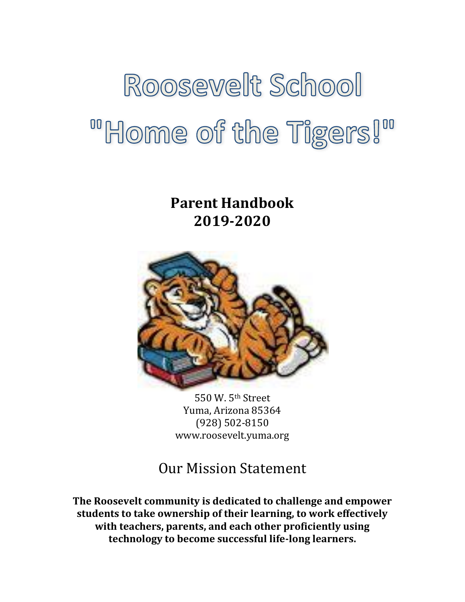# Roosevelt School "Home of the Tigers!"

**Parent Handbook 2019-2020**



550 W. 5th Street Yuma, Arizona 85364 (928) 502-8150 www.roosevelt.yuma.org

# Our Mission Statement

**The Roosevelt community is dedicated to challenge and empower students to take ownership of their learning, to work effectively with teachers, parents, and each other proficiently using technology to become successful life-long learners.**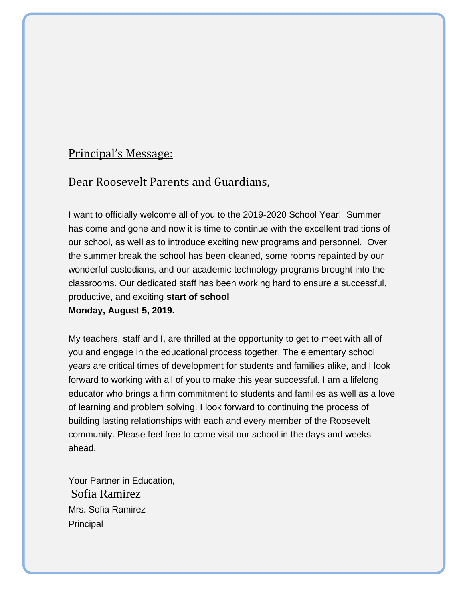# Principal's Message:

# Dear Roosevelt Parents and Guardians,

I want to officially welcome all of you to the 2019-2020 School Year! Summer has come and gone and now it is time to continue with the excellent traditions of our school, as well as to introduce exciting new programs and personnel. Over the summer break the school has been cleaned, some rooms repainted by our wonderful custodians, and our academic technology programs brought into the classrooms. Our dedicated staff has been working hard to ensure a successful, productive, and exciting **start of school Monday, August 5, 2019.**

My teachers, staff and I, are thrilled at the opportunity to get to meet with all of you and engage in the educational process together. The elementary school years are critical times of development for students and families alike, and I look forward to working with all of you to make this year successful. I am a lifelong educator who brings a firm commitment to students and families as well as a love of learning and problem solving. I look forward to continuing the process of building lasting relationships with each and every member of the Roosevelt community. Please feel free to come visit our school in the days and weeks ahead.

Your Partner in Education, Sofia Ramirez Mrs. Sofia Ramirez **Principal**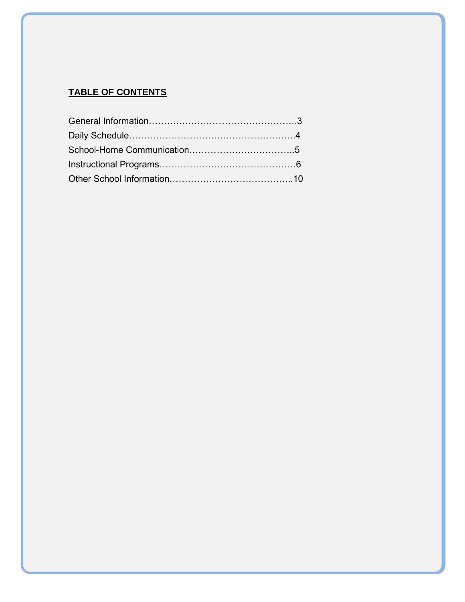# **TABLE OF CONTENTS**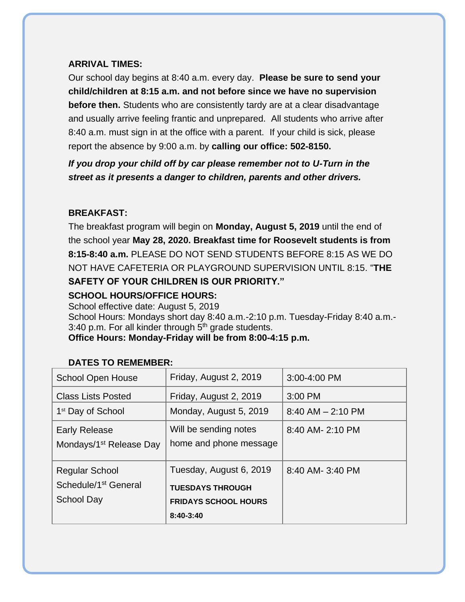#### **ARRIVAL TIMES:**

Our school day begins at 8:40 a.m. every day. **Please be sure to send your child/children at 8:15 a.m. and not before since we have no supervision before then.** Students who are consistently tardy are at a clear disadvantage and usually arrive feeling frantic and unprepared. All students who arrive after 8:40 a.m. must sign in at the office with a parent. If your child is sick, please report the absence by 9:00 a.m. by **calling our office: 502-8150.**

*If you drop your child off by car please remember not to U-Turn in the street as it presents a danger to children, parents and other drivers.*

# **BREAKFAST:**

The breakfast program will begin on **Monday, August 5, 2019** until the end of the school year **May 28, 2020. Breakfast time for Roosevelt students is from 8:15-8:40 a.m.** PLEASE DO NOT SEND STUDENTS BEFORE 8:15 AS WE DO NOT HAVE CAFETERIA OR PLAYGROUND SUPERVISION UNTIL 8:15. "**THE SAFETY OF YOUR CHILDREN IS OUR PRIORITY."** 

# **SCHOOL HOURS/OFFICE HOURS:**

School effective date: August 5, 2019

School Hours: Mondays short day 8:40 a.m.-2:10 p.m. Tuesday-Friday 8:40 a.m.- 3:40 p.m. For all kinder through  $5<sup>th</sup>$  grade students.

#### **Office Hours: Monday-Friday will be from 8:00-4:15 p.m.**

| <b>School Open House</b>                                                       | Friday, August 2, 2019                                                                         | 3:00-4:00 PM          |
|--------------------------------------------------------------------------------|------------------------------------------------------------------------------------------------|-----------------------|
| <b>Class Lists Posted</b>                                                      | Friday, August 2, 2019                                                                         | 3:00 PM               |
| 1 <sup>st</sup> Day of School                                                  | Monday, August 5, 2019                                                                         | $8:40$ AM $- 2:10$ PM |
| <b>Early Release</b><br>Mondays/1 <sup>st</sup> Release Day                    | Will be sending notes<br>home and phone message                                                | 8:40 AM- 2:10 PM      |
| <b>Regular School</b><br>Schedule/1 <sup>st</sup> General<br><b>School Day</b> | Tuesday, August 6, 2019<br><b>TUESDAYS THROUGH</b><br><b>FRIDAYS SCHOOL HOURS</b><br>8:40-3:40 | 8:40 AM- 3:40 PM      |

# **DATES TO REMEMBER:**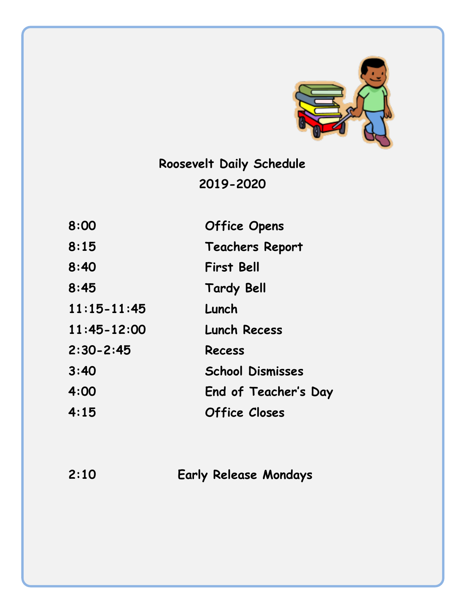

**Roosevelt Daily Schedule 2019-2020**

| 8:00            | <b>Office Opens</b>     |
|-----------------|-------------------------|
| 8:15            | <b>Teachers Report</b>  |
| 8:40            | <b>First Bell</b>       |
| 8:45            | <b>Tardy Bell</b>       |
| $11:15 - 11:45$ | Lunch                   |
| $11:45 - 12:00$ | <b>Lunch Recess</b>     |
| $2:30 - 2:45$   | <b>Recess</b>           |
| 3:40            | <b>School Dismisses</b> |
| 4:00            | End of Teacher's Day    |
| 4:15            | <b>Office Closes</b>    |

**2:10 Early Release Mondays**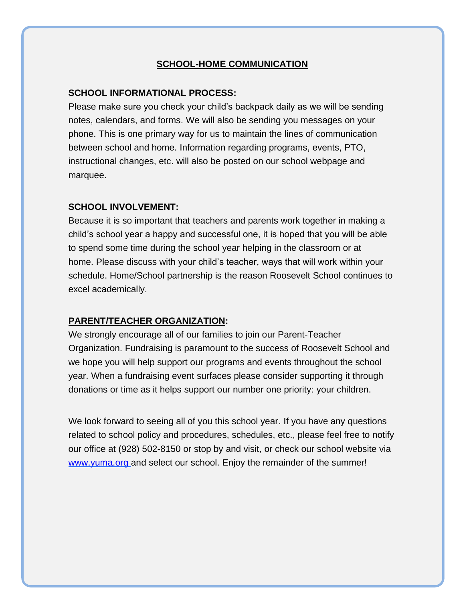#### **SCHOOL-HOME COMMUNICATION**

#### **SCHOOL INFORMATIONAL PROCESS:**

Please make sure you check your child's backpack daily as we will be sending notes, calendars, and forms. We will also be sending you messages on your phone. This is one primary way for us to maintain the lines of communication between school and home. Information regarding programs, events, PTO, instructional changes, etc. will also be posted on our school webpage and marquee.

#### **SCHOOL INVOLVEMENT:**

Because it is so important that teachers and parents work together in making a child's school year a happy and successful one, it is hoped that you will be able to spend some time during the school year helping in the classroom or at home. Please discuss with your child's teacher, ways that will work within your schedule. Home/School partnership is the reason Roosevelt School continues to excel academically.

#### **PARENT/TEACHER ORGANIZATION:**

We strongly encourage all of our families to join our Parent-Teacher Organization. Fundraising is paramount to the success of Roosevelt School and we hope you will help support our programs and events throughout the school year. When a fundraising event surfaces please consider supporting it through donations or time as it helps support our number one priority: your children.

We look forward to seeing all of you this school year. If you have any questions related to school policy and procedures, schedules, etc., please feel free to notify our office at (928) 502-8150 or stop by and visit, or check our school website via [www.yuma.org](http://www.yuma.org/) and select our school. Enjoy the remainder of the summer!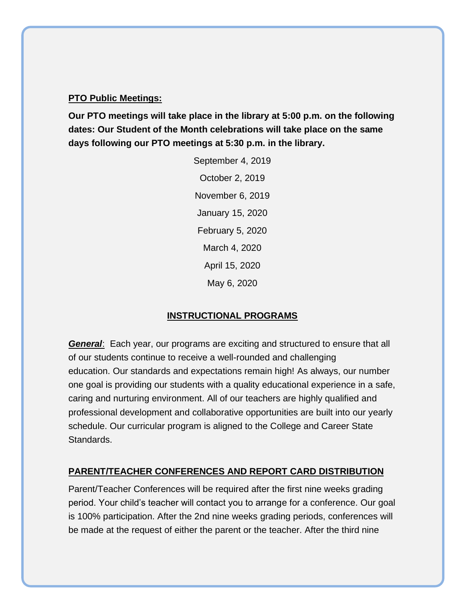#### **PTO Public Meetings:**

**Our PTO meetings will take place in the library at 5:00 p.m. on the following dates: Our Student of the Month celebrations will take place on the same days following our PTO meetings at 5:30 p.m. in the library.**

> September 4, 2019 October 2, 2019 November 6, 2019 January 15, 2020 February 5, 2020 March 4, 2020 April 15, 2020 May 6, 2020

#### **INSTRUCTIONAL PROGRAMS**

*General*: Each year, our programs are exciting and structured to ensure that all of our students continue to receive a well-rounded and challenging education. Our standards and expectations remain high! As always, our number one goal is providing our students with a quality educational experience in a safe, caring and nurturing environment. All of our teachers are highly qualified and professional development and collaborative opportunities are built into our yearly schedule. Our curricular program is aligned to the College and Career State Standards.

# **PARENT/TEACHER CONFERENCES AND REPORT CARD DISTRIBUTION**

Parent/Teacher Conferences will be required after the first nine weeks grading period. Your child's teacher will contact you to arrange for a conference. Our goal is 100% participation. After the 2nd nine weeks grading periods, conferences will be made at the request of either the parent or the teacher. After the third nine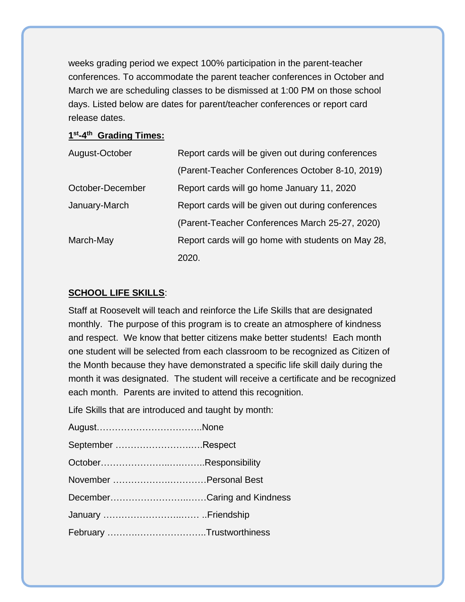weeks grading period we expect 100% participation in the parent-teacher conferences. To accommodate the parent teacher conferences in October and March we are scheduling classes to be dismissed at 1:00 PM on those school days. Listed below are dates for parent/teacher conferences or report card release dates.

#### **1 st-4 th Grading Times:**

| August-October   | Report cards will be given out during conferences  |
|------------------|----------------------------------------------------|
|                  | (Parent-Teacher Conferences October 8-10, 2019)    |
| October-December | Report cards will go home January 11, 2020         |
| January-March    | Report cards will be given out during conferences  |
|                  | (Parent-Teacher Conferences March 25-27, 2020)     |
| March-May        | Report cards will go home with students on May 28, |
|                  | 2020.                                              |

# **SCHOOL LIFE SKILLS**:

Staff at Roosevelt will teach and reinforce the Life Skills that are designated monthly. The purpose of this program is to create an atmosphere of kindness and respect. We know that better citizens make better students! Each month one student will be selected from each classroom to be recognized as Citizen of the Month because they have demonstrated a specific life skill daily during the month it was designated. The student will receive a certificate and be recognized each month. Parents are invited to attend this recognition.

Life Skills that are introduced and taught by month:

| September Respect           |  |
|-----------------------------|--|
|                             |  |
|                             |  |
| DecemberCaring and Kindness |  |
|                             |  |
| February Trustworthiness    |  |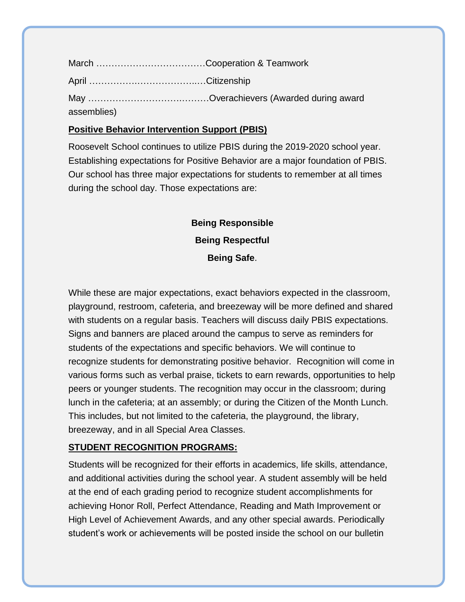| assemblies) |  |
|-------------|--|

## **Positive Behavior Intervention Support (PBIS)**

Roosevelt School continues to utilize PBIS during the 2019-2020 school year. Establishing expectations for Positive Behavior are a major foundation of PBIS. Our school has three major expectations for students to remember at all times during the school day. Those expectations are:

> **Being Responsible Being Respectful Being Safe**.

While these are major expectations, exact behaviors expected in the classroom, playground, restroom, cafeteria, and breezeway will be more defined and shared with students on a regular basis. Teachers will discuss daily PBIS expectations. Signs and banners are placed around the campus to serve as reminders for students of the expectations and specific behaviors. We will continue to recognize students for demonstrating positive behavior. Recognition will come in various forms such as verbal praise, tickets to earn rewards, opportunities to help peers or younger students. The recognition may occur in the classroom; during lunch in the cafeteria; at an assembly; or during the Citizen of the Month Lunch. This includes, but not limited to the cafeteria, the playground, the library, breezeway, and in all Special Area Classes.

# **STUDENT RECOGNITION PROGRAMS:**

Students will be recognized for their efforts in academics, life skills, attendance, and additional activities during the school year. A student assembly will be held at the end of each grading period to recognize student accomplishments for achieving Honor Roll, Perfect Attendance, Reading and Math Improvement or High Level of Achievement Awards, and any other special awards. Periodically student's work or achievements will be posted inside the school on our bulletin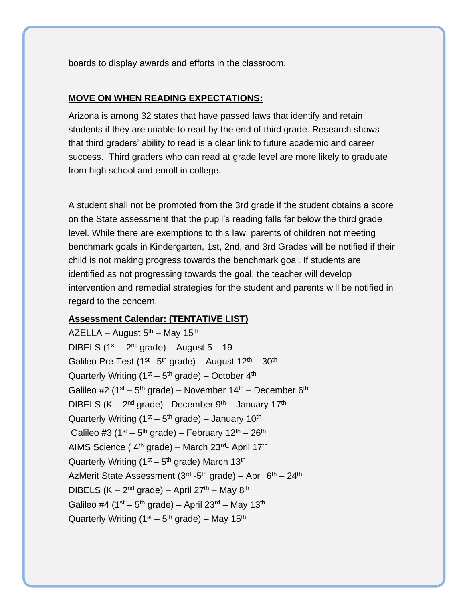boards to display awards and efforts in the classroom.

#### **MOVE ON WHEN READING EXPECTATIONS:**

Arizona is among 32 states that have passed laws that identify and retain students if they are unable to read by the end of third grade. Research shows that third graders' ability to read is a clear link to future academic and career success. Third graders who can read at grade level are more likely to graduate from high school and enroll in college.

A student shall not be promoted from the 3rd grade if the student obtains a score on the State assessment that the pupil's reading falls far below the third grade level. While there are exemptions to this law, parents of children not meeting benchmark goals in Kindergarten, 1st, 2nd, and 3rd Grades will be notified if their child is not making progress towards the benchmark goal. If students are identified as not progressing towards the goal, the teacher will develop intervention and remedial strategies for the student and parents will be notified in regard to the concern.

#### **Assessment Calendar: (TENTATIVE LIST)**

AZELLA – August  $5<sup>th</sup>$  – May 15<sup>th</sup> DIBELS  $(1<sup>st</sup> - 2<sup>nd</sup> grade) - August 5 - 19$ Galileo Pre-Test (1<sup>st</sup> - 5<sup>th</sup> grade) – August 12<sup>th</sup> – 30<sup>th</sup> Quarterly Writing (1st – 5<sup>th</sup> grade) – October 4<sup>th</sup> Galileo #2 (1<sup>st</sup> – 5<sup>th</sup> grade) – November 14<sup>th</sup> – December 6<sup>th</sup> DIBELS (K – 2<sup>nd</sup> grade) - December 9<sup>th</sup> – January 17<sup>th</sup> Quarterly Writing (1<sup>st</sup> – 5<sup>th</sup> grade) – January 10<sup>th</sup> Galileo #3 (1st – 5<sup>th</sup> grade) – February 12<sup>th</sup> – 26<sup>th</sup> AIMS Science (4<sup>th</sup> grade) – March 23<sup>rd</sup>- April 17<sup>th</sup> Quarterly Writing (1<sup>st</sup> – 5<sup>th</sup> grade) March 13<sup>th</sup> AzMerit State Assessment (3<sup>rd</sup> -5<sup>th</sup> grade) – April 6<sup>th</sup> – 24<sup>th</sup> DIBELS (K – 2<sup>nd</sup> grade) – April 27<sup>th</sup> – May 8<sup>th</sup> Galileo #4 (1st – 5<sup>th</sup> grade) – April 23<sup>rd</sup> – May 13<sup>th</sup> Quarterly Writing (1<sup>st</sup> – 5<sup>th</sup> grade) – May 15<sup>th</sup>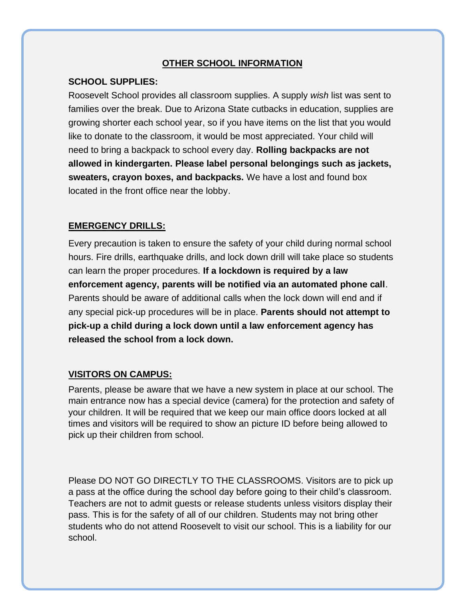#### **OTHER SCHOOL INFORMATION**

10

#### **SCHOOL SUPPLIES:**

Roosevelt School provides all classroom supplies. A supply *wish* list was sent to families over the break. Due to Arizona State cutbacks in education, supplies are growing shorter each school year, so if you have items on the list that you would like to donate to the classroom, it would be most appreciated. Your child will need to bring a backpack to school every day. **Rolling backpacks are not allowed in kindergarten. Please label personal belongings such as jackets, sweaters, crayon boxes, and backpacks.** We have a lost and found box located in the front office near the lobby.

#### **EMERGENCY DRILLS:**

Every precaution is taken to ensure the safety of your child during normal school hours. Fire drills, earthquake drills, and lock down drill will take place so students can learn the proper procedures. **If a lockdown is required by a law enforcement agency, parents will be notified via an automated phone call**. Parents should be aware of additional calls when the lock down will end and if any special pick-up procedures will be in place. **Parents should not attempt to pick-up a child during a lock down until a law enforcement agency has released the school from a lock down.**

#### **VISITORS ON CAMPUS:**

Parents, please be aware that we have a new system in place at our school. The main entrance now has a special device (camera) for the protection and safety of your children. It will be required that we keep our main office doors locked at all times and visitors will be required to show an picture ID before being allowed to pick up their children from school.

Please DO NOT GO DIRECTLY TO THE CLASSROOMS. Visitors are to pick up a pass at the office during the school day before going to their child's classroom. Teachers are not to admit guests or release students unless visitors display their pass. This is for the safety of all of our children. Students may not bring other students who do not attend Roosevelt to visit our school. This is a liability for our school.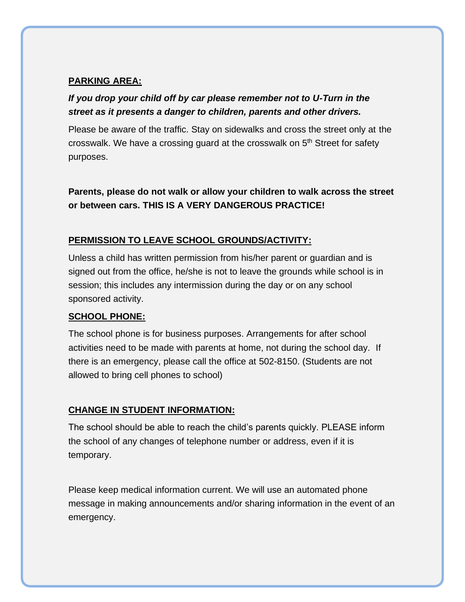# **PARKING AREA:**

# *If you drop your child off by car please remember not to U-Turn in the street as it presents a danger to children, parents and other drivers.*

Please be aware of the traffic. Stay on sidewalks and cross the street only at the crosswalk. We have a crossing guard at the crosswalk on 5<sup>th</sup> Street for safety purposes.

**Parents, please do not walk or allow your children to walk across the street or between cars. THIS IS A VERY DANGEROUS PRACTICE!**

# **PERMISSION TO LEAVE SCHOOL GROUNDS/ACTIVITY:**

Unless a child has written permission from his/her parent or guardian and is signed out from the office, he/she is not to leave the grounds while school is in session; this includes any intermission during the day or on any school sponsored activity.

# **SCHOOL PHONE:**

The school phone is for business purposes. Arrangements for after school activities need to be made with parents at home, not during the school day. If there is an emergency, please call the office at 502-8150. (Students are not allowed to bring cell phones to school)

#### **CHANGE IN STUDENT INFORMATION:**

The school should be able to reach the child's parents quickly. PLEASE inform the school of any changes of telephone number or address, even if it is temporary.

Please keep medical information current. We will use an automated phone message in making announcements and/or sharing information in the event of an emergency.